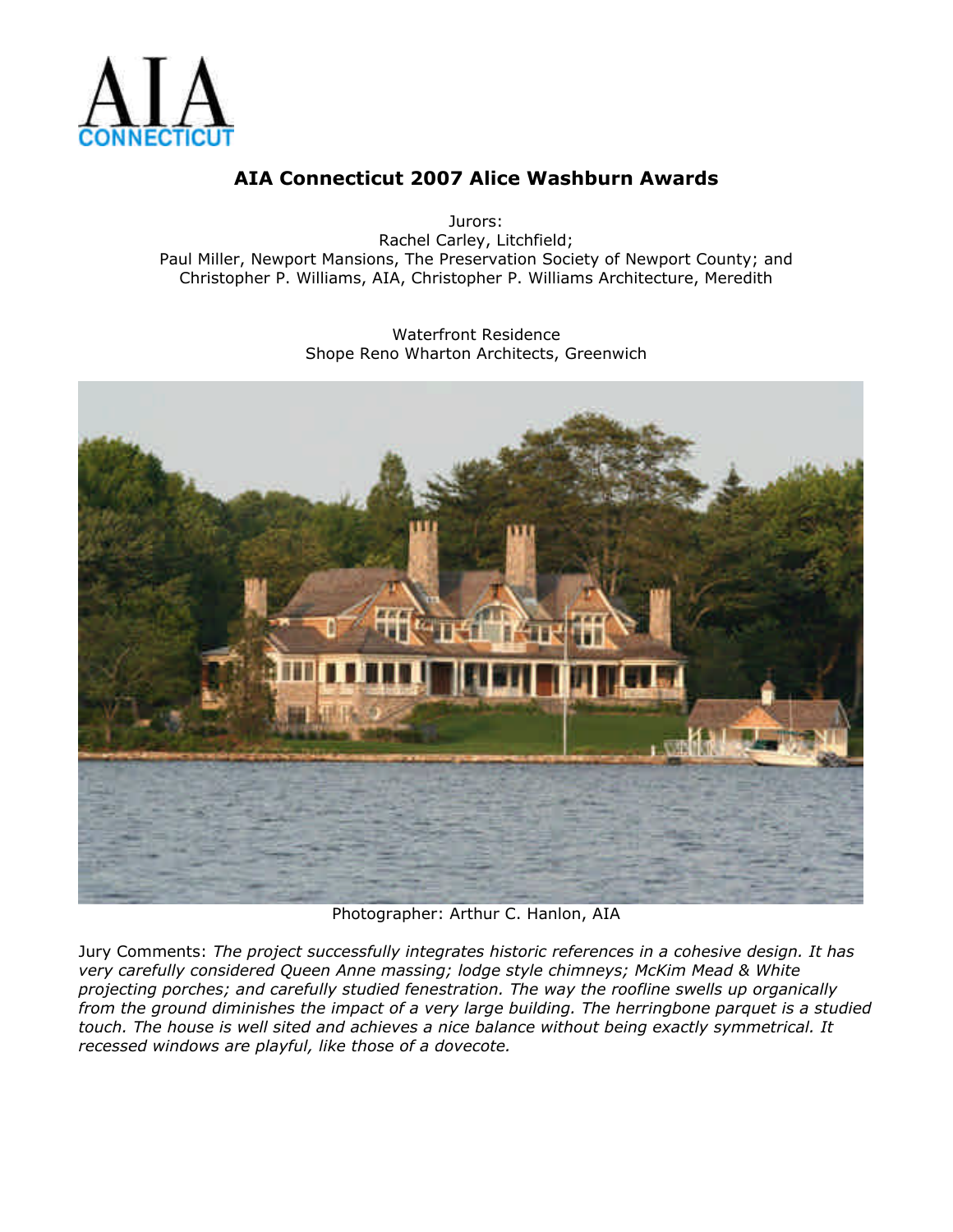

Jurors: Rachel Carley, Litchfield; Paul Miller, Newport Mansions, The Preservation Society of Newport County; and Christopher P. Williams, AIA, Christopher P. Williams Architecture, Meredith

> Waterfront Residence Shope Reno Wharton Architects, Greenwich



Photographer: Arthur C. Hanlon, AIA

Jury Comments: *The project successfully integrates historic references in a cohesive design. It has very carefully considered Queen Anne massing; lodge style chimneys; McKim Mead & White projecting porches; and carefully studied fenestration. The way the roofline swells up organically from the ground diminishes the impact of a very large building. The herringbone parquet is a studied touch. The house is well sited and achieves a nice balance without being exactly symmetrical. It recessed windows are playful, like those of a dovecote.*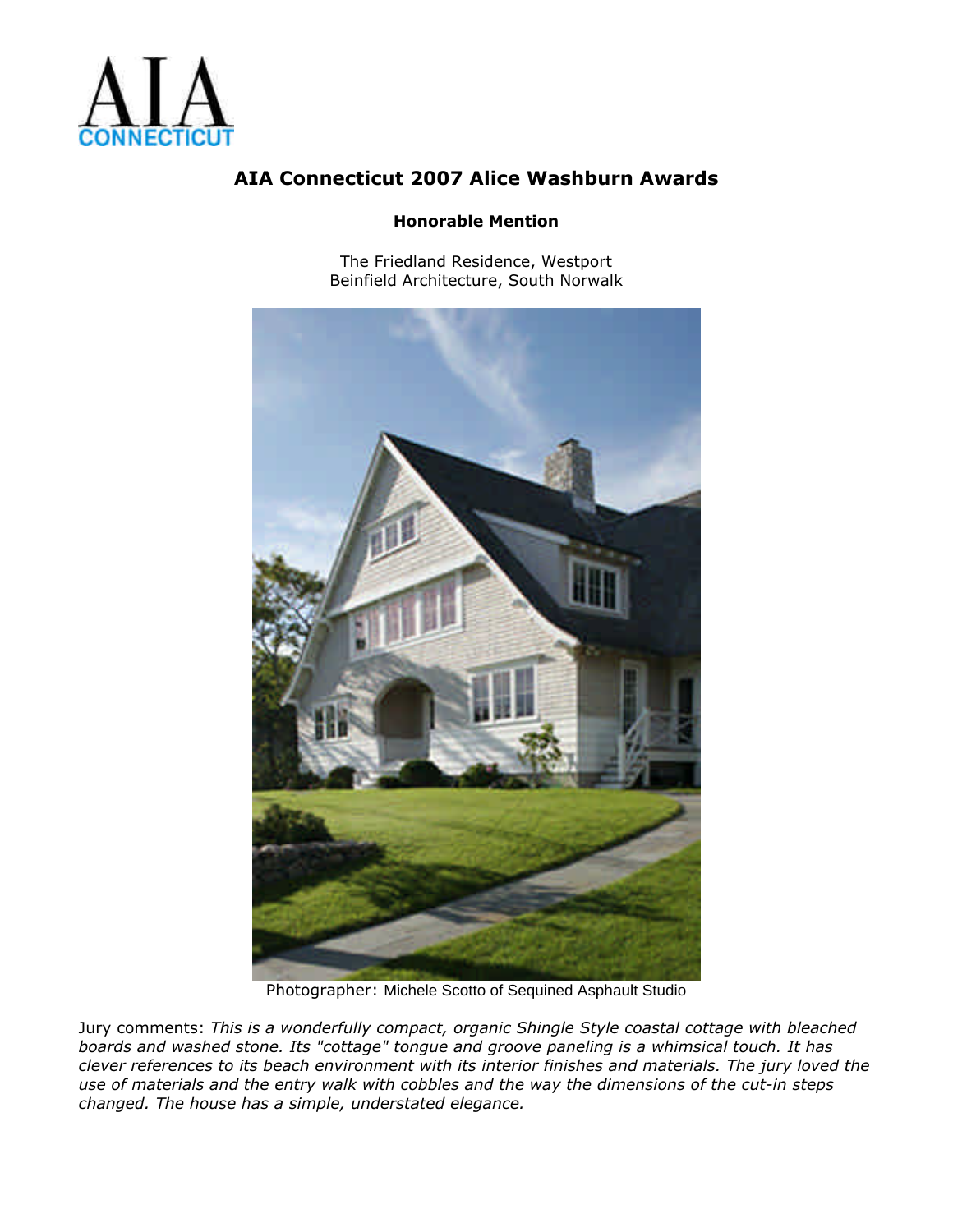

#### **Honorable Mention**

The Friedland Residence, Westport Beinfield Architecture, South Norwalk



Photographer: Michele Scotto of Sequined Asphault Studio

Jury comments: *This is a wonderfully compact, organic Shingle Style coastal cottage with bleached boards and washed stone. Its "cottage" tongue and groove paneling is a whimsical touch. It has clever references to its beach environment with its interior finishes and materials. The jury loved the use of materials and the entry walk with cobbles and the way the dimensions of the cut-in steps changed. The house has a simple, understated elegance.*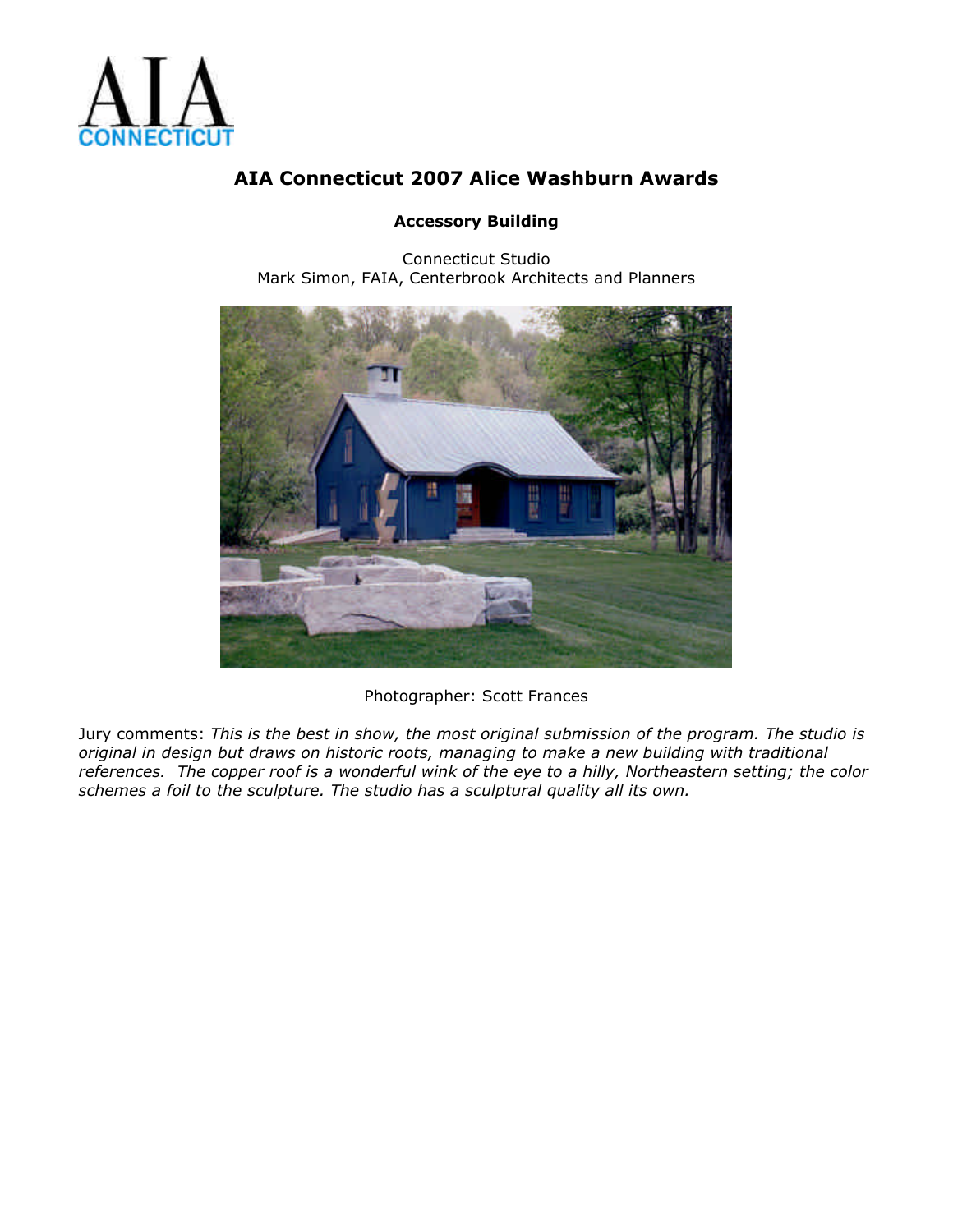

#### **Accessory Building**

Connecticut Studio Mark Simon, FAIA, Centerbrook Architects and Planners



Photographer: Scott Frances

Jury comments: *This is the best in show, the most original submission of the program. The studio is original in design but draws on historic roots, managing to make a new building with traditional references. The copper roof is a wonderful wink of the eye to a hilly, Northeastern setting; the color schemes a foil to the sculpture. The studio has a sculptural quality all its own.*